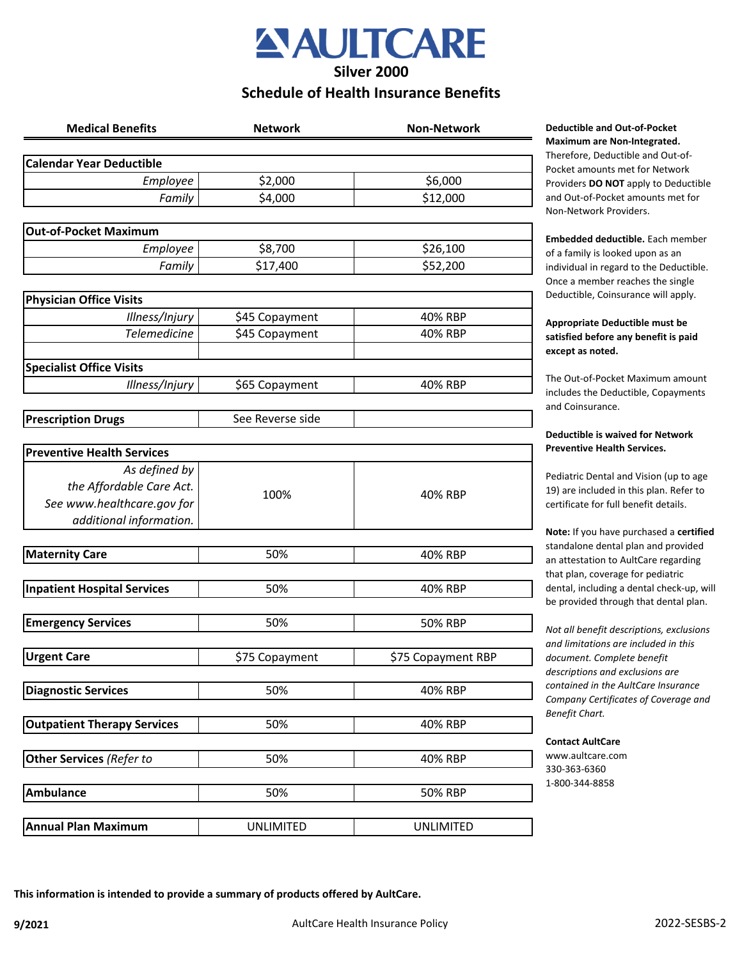## **AULTCARE Silver 2000**

## **Schedule of Health Insurance Benefits**

| <b>Medical Benefits</b>            | <b>Network</b>   | <b>Non-Network</b> |
|------------------------------------|------------------|--------------------|
| <b>Calendar Year Deductible</b>    |                  |                    |
| Employee                           | \$2,000          | \$6,000            |
| Family                             | \$4,000          | \$12,000           |
|                                    |                  |                    |
| <b>Out-of-Pocket Maximum</b>       |                  |                    |
| Employee                           | \$8,700          | \$26,100           |
| Family                             | \$17,400         | \$52,200           |
| <b>Physician Office Visits</b>     |                  |                    |
| Illness/Injury                     | \$45 Copayment   | 40% RBP            |
| <b>Telemedicine</b>                | \$45 Copayment   | 40% RBP            |
|                                    |                  |                    |
| <b>Specialist Office Visits</b>    |                  |                    |
| Illness/Injury                     | \$65 Copayment   | 40% RBP            |
|                                    |                  |                    |
| <b>Prescription Drugs</b>          | See Reverse side |                    |
| <b>Preventive Health Services</b>  |                  |                    |
| As defined by                      |                  |                    |
| the Affordable Care Act.           |                  |                    |
| See www.healthcare.gov for         | 100%             | 40% RBP            |
| additional information.            |                  |                    |
|                                    |                  |                    |
| <b>Maternity Care</b>              | 50%              | 40% RBP            |
| <b>Inpatient Hospital Services</b> | 50%              | 40% RBP            |
|                                    |                  |                    |
| <b>Emergency Services</b>          | 50%              | <b>50% RBP</b>     |
| <b>Urgent Care</b>                 | \$75 Copayment   | \$75 Copayment RBP |
|                                    |                  |                    |
| <b>Diagnostic Services</b>         | 50%              | 40% RBP            |
| <b>Outpatient Therapy Services</b> | 50%              | 40% RBP            |
|                                    |                  |                    |
| Other Services (Refer to           | 50%              | 40% RBP            |
|                                    |                  |                    |
| <b>Ambulance</b>                   | 50%              | 50% RBP            |
| <b>Annual Plan Maximum</b>         | <b>UNLIMITED</b> | <b>UNLIMITED</b>   |

#### **Meductible and Out-of-Pocket Maximum are Non-Integrated.**

Therefore, Deductible and Out-of-Pocket amounts met for Network Providers **DO NOT** apply to Deductible and Out-of-Pocket amounts met for Non-Network Providers.

**Embedded deductible.** Each member of a family is looked upon as an individual in regard to the Deductible. Once a member reaches the single Deductible, Coinsurance will apply.

#### **Appropriate Deductible must be satisfied before any benefit is paid except as noted.**

The Out-of-Pocket Maximum amount includes the Deductible, Copayments and Coinsurance.

#### **Deductible is waived for Network Preventive Health Services.**

Pediatric Dental and Vision (up to age 19) are included in this plan. Refer to certificate for full benefit details.

**Note:** If you have purchased a **certified**  standalone dental plan and provided an attestation to AultCare regarding that plan, coverage for pediatric dental, including a dental check-up, will be provided through that dental plan.

*Not all benefit descriptions, exclusions and limitations are included in this document. Complete benefit descriptions and exclusions are contained in the AultCare Insurance Company Certificates of Coverage and Benefit Chart.* 

#### **Contact AultCare**

www.aultcare.com 330-363-6360 1-800-344-8858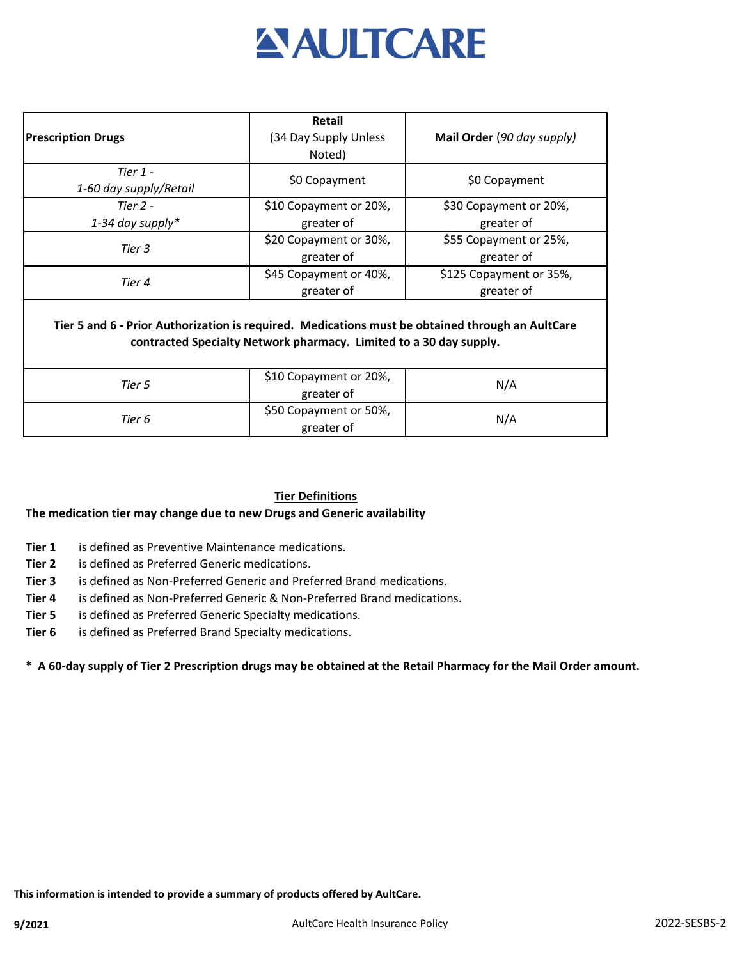

|                                                                                                                                                                        | <b>Retail</b>                        |                            |  |
|------------------------------------------------------------------------------------------------------------------------------------------------------------------------|--------------------------------------|----------------------------|--|
| <b>Prescription Drugs</b>                                                                                                                                              | (34 Day Supply Unless                | Mail Order (90 day supply) |  |
|                                                                                                                                                                        | Noted)                               |                            |  |
| Tier $1 -$                                                                                                                                                             | \$0 Copayment                        | \$0 Copayment              |  |
| 1-60 day supply/Retail                                                                                                                                                 |                                      |                            |  |
| Tier 2 -                                                                                                                                                               | \$10 Copayment or 20%,               | \$30 Copayment or 20%,     |  |
| 1-34 day supply*                                                                                                                                                       | greater of                           | greater of                 |  |
| Tier 3                                                                                                                                                                 | \$20 Copayment or 30%,               | \$55 Copayment or 25%,     |  |
|                                                                                                                                                                        | greater of                           | greater of                 |  |
| Tier 4                                                                                                                                                                 | \$45 Copayment or 40%,               | \$125 Copayment or 35%,    |  |
|                                                                                                                                                                        | greater of                           | greater of                 |  |
| Tier 5 and 6 - Prior Authorization is required. Medications must be obtained through an AultCare<br>contracted Specialty Network pharmacy. Limited to a 30 day supply. |                                      |                            |  |
| Tier 5                                                                                                                                                                 | \$10 Copayment or 20%,<br>greater of | N/A                        |  |
| Tier 6                                                                                                                                                                 | \$50 Copayment or 50%,<br>greater of | N/A                        |  |

#### **Tier Definitions**

#### **The medication tier may change due to new Drugs and Generic availability**

- **Tier 1** is defined as Preventive Maintenance medications.
- **Tier 2** is defined as Preferred Generic medications.
- **Tier 3** is defined as Non-Preferred Generic and Preferred Brand medications.
- **Tier 4** is defined as Non-Preferred Generic & Non-Preferred Brand medications.
- **Tier 5** is defined as Preferred Generic Specialty medications.
- **Tier 6** is defined as Preferred Brand Specialty medications.

#### **\* A 60-day supply of Tier 2 Prescription drugs may be obtained at the Retail Pharmacy for the Mail Order amount.**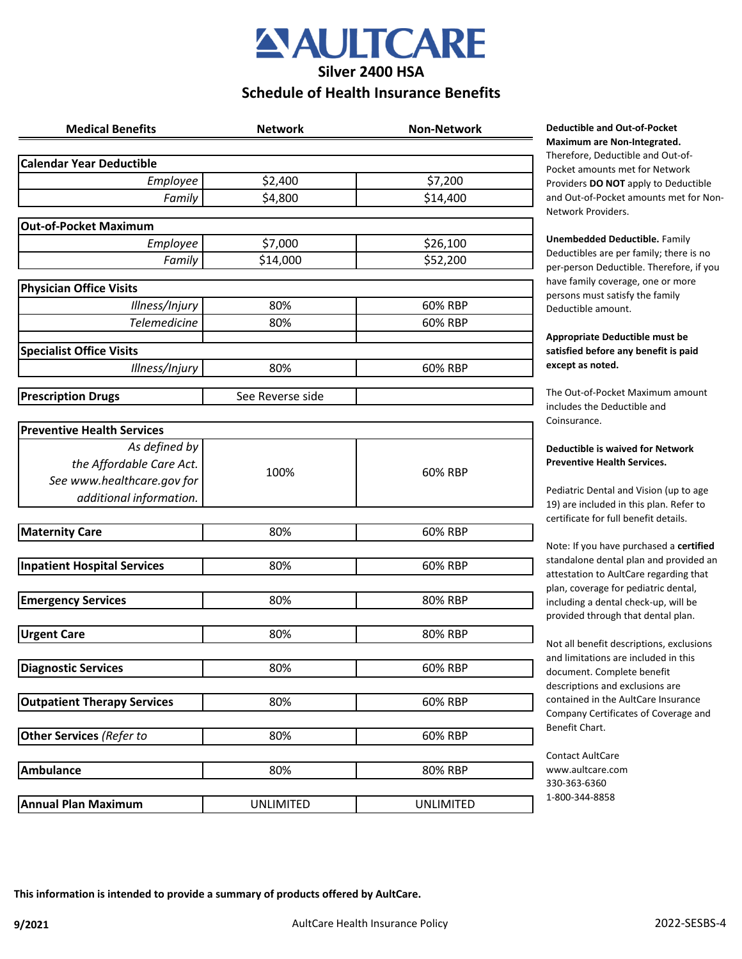

### **Schedule of Health Insurance Benefits**

| <b>Medical Benefits</b>                               | <b>Network</b>   | <b>Non-Network</b> |
|-------------------------------------------------------|------------------|--------------------|
| <b>Calendar Year Deductible</b>                       |                  |                    |
| Employee                                              | \$2,400          | \$7,200            |
| Family                                                | \$4,800          | \$14,400           |
| <b>Out-of-Pocket Maximum</b>                          |                  |                    |
| Employee                                              | \$7,000          | \$26,100           |
| Family                                                | \$14,000         | \$52,200           |
| <b>Physician Office Visits</b>                        |                  |                    |
| Illness/Injury                                        | 80%              | 60% RBP            |
| <b>Telemedicine</b>                                   | 80%              | 60% RBP            |
| <b>Specialist Office Visits</b>                       |                  |                    |
| Illness/Injury                                        | 80%              | 60% RBP            |
| <b>Prescription Drugs</b>                             | See Reverse side |                    |
|                                                       |                  |                    |
| <b>Preventive Health Services</b>                     |                  |                    |
| As defined by<br>the Affordable Care Act.             |                  |                    |
|                                                       | 100%             | 60% RBP            |
| See www.healthcare.gov for<br>additional information. |                  |                    |
|                                                       |                  |                    |
| <b>Maternity Care</b>                                 | 80%              | 60% RBP            |
|                                                       |                  |                    |
| <b>Inpatient Hospital Services</b>                    | 80%              | 60% RBP            |
| <b>Emergency Services</b>                             | 80%              | 80% RBP            |
|                                                       |                  |                    |
| <b>Urgent Care</b>                                    | 80%              | 80% RBP            |
| <b>Diagnostic Services</b>                            | 80%              | 60% RBP            |
|                                                       |                  |                    |
| <b>Outpatient Therapy Services</b>                    | 80%              | 60% RBP            |
| Other Services (Refer to                              | 80%              | 60% RBP            |
| <b>Ambulance</b>                                      | 80%              | 80% RBP            |
|                                                       |                  |                    |
| <b>Annual Plan Maximum</b>                            | <b>UNLIMITED</b> | <b>UNLIMITED</b>   |

#### **Deductible and Out-of-Pocket Maximum are Non-Integrated.**

Therefore, Deductible and Out-of-Pocket amounts met for Network Providers **DO NOT** apply to Deductible and Out-of-Pocket amounts met for Non-Network Providers.

**Unembedded Deductible.** Family Deductibles are per family; there is no per-person Deductible. Therefore, if you have family coverage, one or more persons must satisfy the family Deductible amount.

#### **Appropriate Deductible must be satisfied before any benefit is paid except as noted.**

The Out-of-Pocket Maximum amount includes the Deductible and Coinsurance.

#### **Deductible is waived for Network Preventive Health Services.**

Pediatric Dental and Vision (up to age 19) are included in this plan. Refer to certificate for full benefit details.

Note: If you have purchased a **certified**  standalone dental plan and provided an attestation to AultCare regarding that plan, coverage for pediatric dental, including a dental check-up, will be provided through that dental plan.

Not all benefit descriptions, exclusions and limitations are included in this document. Complete benefit descriptions and exclusions are contained in the AultCare Insurance Company Certificates of Coverage and Benefit Chart.

Contact AultCare www.aultcare.com 330-363-6360 1-800-344-8858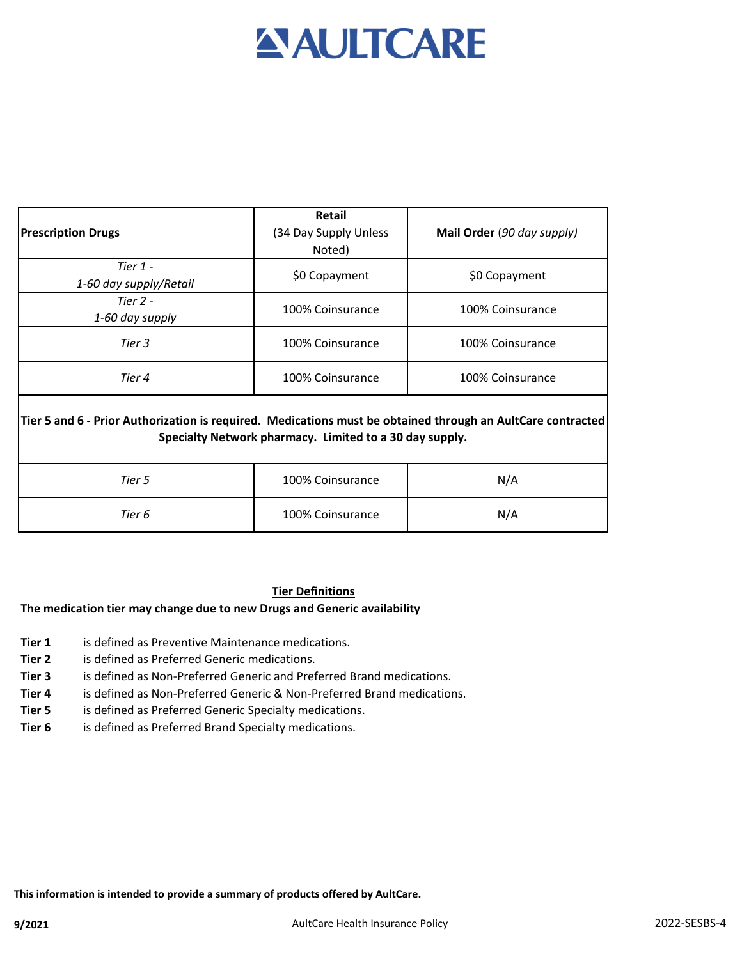# **AULTCARE**

|                                                                                                                                                                        | <b>Retail</b>         |                            |  |
|------------------------------------------------------------------------------------------------------------------------------------------------------------------------|-----------------------|----------------------------|--|
| <b>Prescription Drugs</b>                                                                                                                                              | (34 Day Supply Unless | Mail Order (90 day supply) |  |
|                                                                                                                                                                        | Noted)                |                            |  |
| Tier 1 -                                                                                                                                                               | \$0 Copayment         | \$0 Copayment              |  |
| 1-60 day supply/Retail                                                                                                                                                 |                       |                            |  |
| Tier $2 -$                                                                                                                                                             | 100% Coinsurance      | 100% Coinsurance           |  |
| 1-60 day supply                                                                                                                                                        |                       |                            |  |
| Tier 3                                                                                                                                                                 | 100% Coinsurance      | 100% Coinsurance           |  |
| Tier 4                                                                                                                                                                 | 100% Coinsurance      | 100% Coinsurance           |  |
| Tier 5 and 6 - Prior Authorization is required. Medications must be obtained through an AultCare contracted<br>Specialty Network pharmacy. Limited to a 30 day supply. |                       |                            |  |
| Tier 5                                                                                                                                                                 | 100% Coinsurance      | N/A                        |  |
| Tier 6                                                                                                                                                                 | 100% Coinsurance      | N/A                        |  |

#### **Tier Definitions**

#### **The medication tier may change due to new Drugs and Generic availability**

- **Tier 1** is defined as Preventive Maintenance medications.
- **Tier 2** is defined as Preferred Generic medications.
- **Tier 3** is defined as Non-Preferred Generic and Preferred Brand medications.
- **Tier 4** is defined as Non-Preferred Generic & Non-Preferred Brand medications.
- **Tier 5** is defined as Preferred Generic Specialty medications.
- **Tier 6** is defined as Preferred Brand Specialty medications.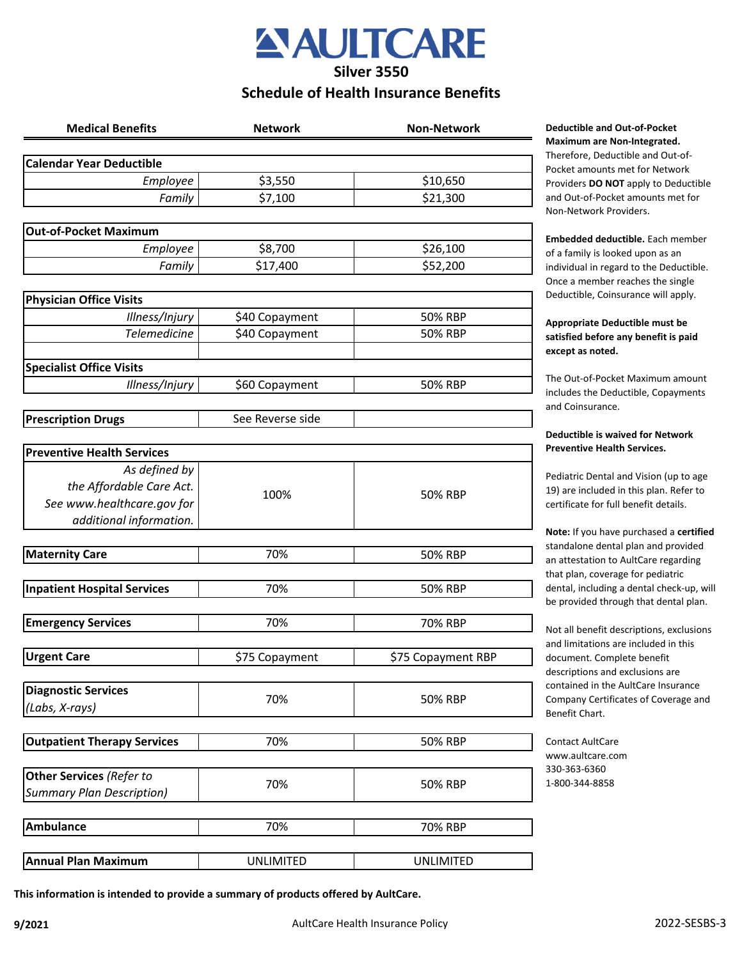## **AULTCARE Silver 3550**

### **Schedule of Health Insurance Benefits**

| <b>Medical Benefits</b>            | <b>Network</b>   | <b>Non-Network</b> |
|------------------------------------|------------------|--------------------|
| <b>Calendar Year Deductible</b>    |                  |                    |
| Employee                           | \$3,550          | \$10,650           |
| Family                             | \$7,100          | \$21,300           |
|                                    |                  |                    |
| <b>Out-of-Pocket Maximum</b>       |                  |                    |
| Employee                           | \$8,700          | \$26,100           |
| Family                             | \$17,400         | \$52,200           |
|                                    |                  |                    |
| <b>Physician Office Visits</b>     |                  |                    |
| Illness/Injury                     | \$40 Copayment   | 50% RBP            |
| <b>Telemedicine</b>                | \$40 Copayment   | 50% RBP            |
| <b>Specialist Office Visits</b>    |                  |                    |
| Illness/Injury                     | \$60 Copayment   | 50% RBP            |
|                                    |                  |                    |
| <b>Prescription Drugs</b>          | See Reverse side |                    |
|                                    |                  |                    |
| <b>Preventive Health Services</b>  |                  |                    |
| As defined by                      |                  |                    |
| the Affordable Care Act.           | 100%             | 50% RBP            |
| See www.healthcare.gov for         |                  |                    |
| additional information.            |                  |                    |
|                                    |                  |                    |
| <b>Maternity Care</b>              | 70%              | 50% RBP            |
|                                    |                  |                    |
| <b>Inpatient Hospital Services</b> | 70%              | 50% RBP            |
| <b>Emergency Services</b>          | 70%              | 70% RBP            |
|                                    |                  |                    |
| <b>Urgent Care</b>                 | \$75 Copayment   | \$75 Copayment RBP |
|                                    |                  |                    |
| <b>Diagnostic Services</b>         |                  |                    |
| (Labs, X-rays)                     | 70%              | 50% RBP            |
|                                    |                  |                    |
| <b>Outpatient Therapy Services</b> | 70%              | 50% RBP            |
|                                    |                  |                    |
| Other Services (Refer to           | 70%              | 50% RBP            |
| <b>Summary Plan Description)</b>   |                  |                    |
|                                    |                  |                    |
| <b>Ambulance</b>                   | 70%              | 70% RBP            |
|                                    |                  |                    |
| <b>Annual Plan Maximum</b>         | <b>UNLIMITED</b> | <b>UNLIMITED</b>   |

#### **Medicatible and Out-of-Pocket Maximum are Non-Integrated.**

erefore, Deductible and Out-ofcket amounts met for Network oviders **DO NOT** apply to Deductible d Out-of-Pocket amounts met for on-Network Providers.

**Embedded deductible.** Each member a family is looked upon as an dividual in regard to the Deductible. nce a member reaches the single eductible, Coinsurance will apply.

#### **Appropriate Deductible must be satisfied before any benefit is paid**  cept as noted.

e Out-of-Pocket Maximum amount cludes the Deductible, Copayments d Coinsurance.

#### **Deductible is waived for Network Preventive Health Services.**

diatric Dental and Vision (up to age 19) are included in this plan. Refer to rtificate for full benefit details.

**Note:** If you have purchased a **certified**  andalone dental plan and provided attestation to AultCare regarding at plan, coverage for pediatric ntal, including a dental check-up, will provided through that dental plan.

ot all benefit descriptions, exclusions d limitations are included in this cument. Complete benefit scriptions and exclusions are ntained in the AultCare Insurance mpany Certificates of Coverage and nefit Chart.

ntact AultCare ww.aultcare.com 0-363-6360 800-344-8858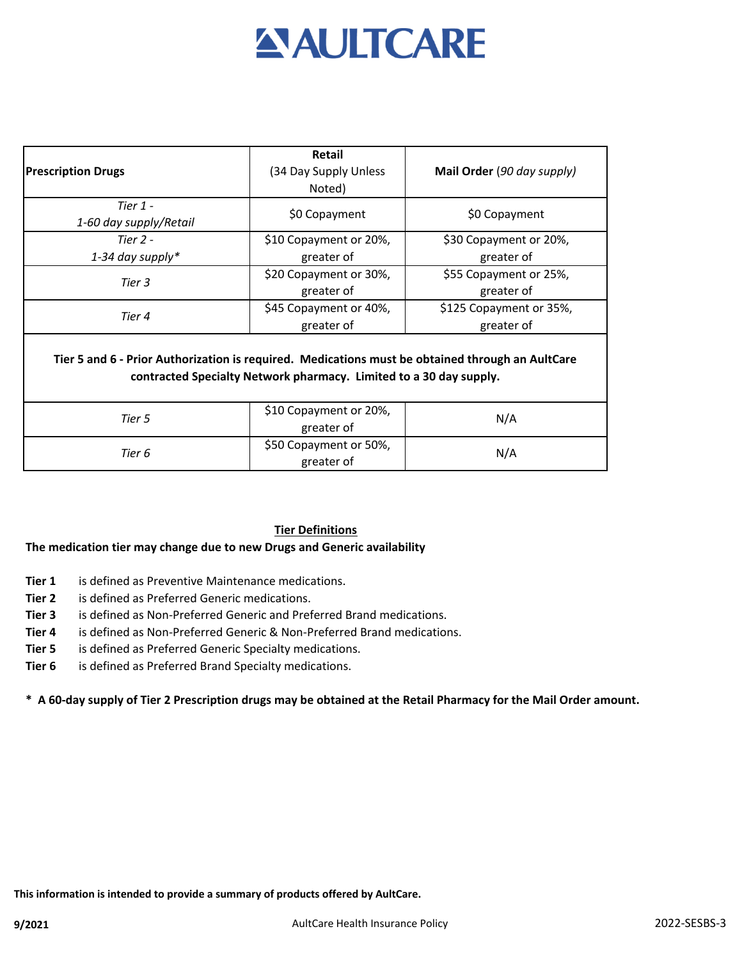## **AULTCARE**

|                                                                                                                                                                        | <b>Retail</b>                        |                            |  |
|------------------------------------------------------------------------------------------------------------------------------------------------------------------------|--------------------------------------|----------------------------|--|
| <b>Prescription Drugs</b>                                                                                                                                              | (34 Day Supply Unless                | Mail Order (90 day supply) |  |
|                                                                                                                                                                        | Noted)                               |                            |  |
| Tier $1 -$                                                                                                                                                             | \$0 Copayment                        | \$0 Copayment              |  |
| 1-60 day supply/Retail                                                                                                                                                 |                                      |                            |  |
| Tier $2 -$                                                                                                                                                             | \$10 Copayment or 20%,               | \$30 Copayment or 20%,     |  |
| 1-34 day supply*                                                                                                                                                       | greater of                           | greater of                 |  |
| Tier 3                                                                                                                                                                 | \$20 Copayment or 30%,               | \$55 Copayment or 25%,     |  |
|                                                                                                                                                                        | greater of                           | greater of                 |  |
| Tier 4                                                                                                                                                                 | \$45 Copayment or 40%,               | \$125 Copayment or 35%,    |  |
|                                                                                                                                                                        | greater of                           | greater of                 |  |
| Tier 5 and 6 - Prior Authorization is required. Medications must be obtained through an AultCare<br>contracted Specialty Network pharmacy. Limited to a 30 day supply. |                                      |                            |  |
| Tier 5                                                                                                                                                                 | \$10 Copayment or 20%,<br>greater of | N/A                        |  |
| Tier 6                                                                                                                                                                 | \$50 Copayment or 50%,<br>greater of | N/A                        |  |

#### **Tier Definitions**

#### **The medication tier may change due to new Drugs and Generic availability**

- **Tier 1** is defined as Preventive Maintenance medications.
- **Tier 2** is defined as Preferred Generic medications.
- **Tier 3** is defined as Non-Preferred Generic and Preferred Brand medications.
- **Tier 4** is defined as Non-Preferred Generic & Non-Preferred Brand medications.
- **Tier 5** is defined as Preferred Generic Specialty medications.
- **Tier 6** is defined as Preferred Brand Specialty medications.

**\* A 60-day supply of Tier 2 Prescription drugs may be obtained at the Retail Pharmacy for the Mail Order amount.**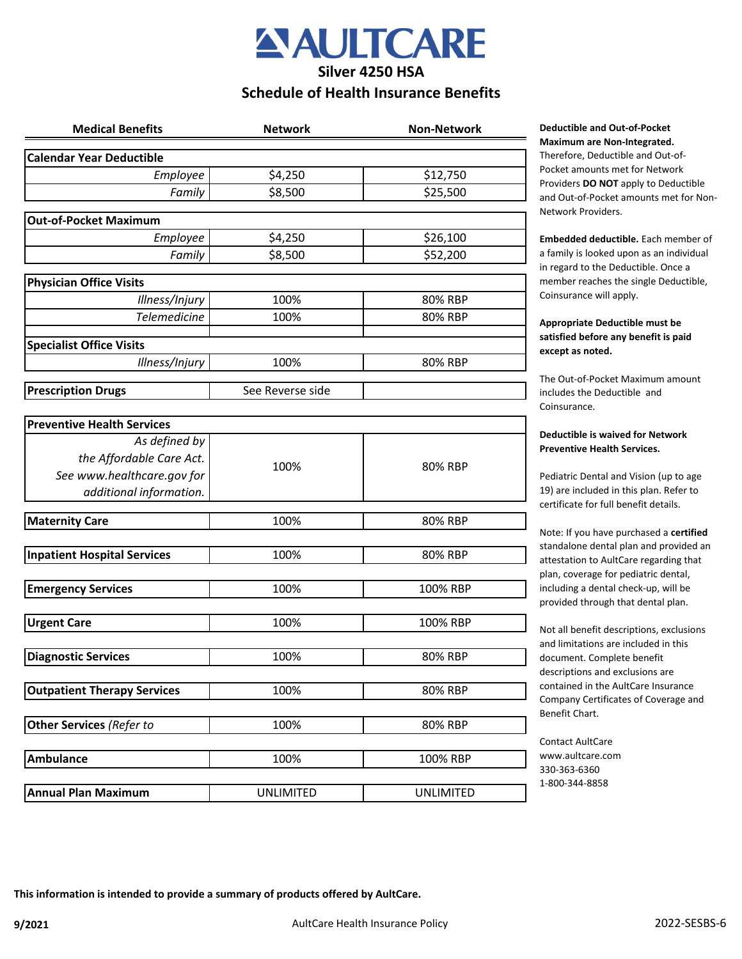

### **Schedule of Health Insurance Benefits**

| <b>Medical Benefits</b>            | <b>Network</b>   | <b>Non-Network</b> |
|------------------------------------|------------------|--------------------|
| <b>Calendar Year Deductible</b>    |                  |                    |
| Employee                           | \$4,250          | \$12,750           |
| Family                             | \$8,500          | \$25,500           |
| <b>Out-of-Pocket Maximum</b>       |                  |                    |
| Employee                           | \$4,250          | \$26,100           |
| Family                             | \$8,500          | \$52,200           |
| <b>Physician Office Visits</b>     |                  |                    |
| Illness/Injury                     | 100%             | 80% RBP            |
| <b>Telemedicine</b>                | 100%             | 80% RBP            |
| <b>Specialist Office Visits</b>    |                  |                    |
| Illness/Injury                     | 100%             | 80% RBP            |
|                                    |                  |                    |
| <b>Prescription Drugs</b>          | See Reverse side |                    |
| <b>Preventive Health Services</b>  |                  |                    |
| As defined by                      |                  | 80% RBP            |
| the Affordable Care Act.           | 100%             |                    |
| See www.healthcare.gov for         |                  |                    |
| additional information.            |                  |                    |
| <b>Maternity Care</b>              | 100%             | 80% RBP            |
| <b>Inpatient Hospital Services</b> | 100%             | 80% RBP            |
|                                    |                  |                    |
| <b>Emergency Services</b>          | 100%             | 100% RBP           |
| <b>Urgent Care</b>                 | 100%             | 100% RBP           |
|                                    |                  |                    |
| <b>Diagnostic Services</b>         | 100%             | 80% RBP            |
| <b>Outpatient Therapy Services</b> | 100%             | 80% RBP            |
|                                    |                  |                    |
| <b>Other Services (Refer to</b>    | 100%             | 80% RBP            |
| <b>Ambulance</b>                   | 100%             | 100% RBP           |
| <b>Annual Plan Maximum</b>         | <b>UNLIMITED</b> | <b>UNLIMITED</b>   |
|                                    |                  |                    |

#### **Deductible and Out-of-Pocket Maximum are Non-Integrated.**

Therefore, Deductible and Out-of-Pocket amounts met for Network Providers **DO NOT** apply to Deductible and Out-of-Pocket amounts met for Non-Network Providers.

**Embedded deductible.** Each member of a family is looked upon as an individual in regard to the Deductible. Once a member reaches the single Deductible, Coinsurance will apply.

#### **Appropriate Deductible must be satisfied before any benefit is paid except as noted.**

The Out-of-Pocket Maximum amount includes the Deductible and Coinsurance.

#### **Deductible is waived for Network Preventive Health Services.**

Pediatric Dental and Vision (up to age 19) are included in this plan. Refer to certificate for full benefit details.

Note: If you have purchased a **certified**  standalone dental plan and provided an attestation to AultCare regarding that plan, coverage for pediatric dental, including a dental check-up, will be provided through that dental plan.

Not all benefit descriptions, exclusions and limitations are included in this document. Complete benefit descriptions and exclusions are contained in the AultCare Insurance Company Certificates of Coverage and Benefit Chart.

Contact AultCare www.aultcare.com 330-363-6360 1-800-344-8858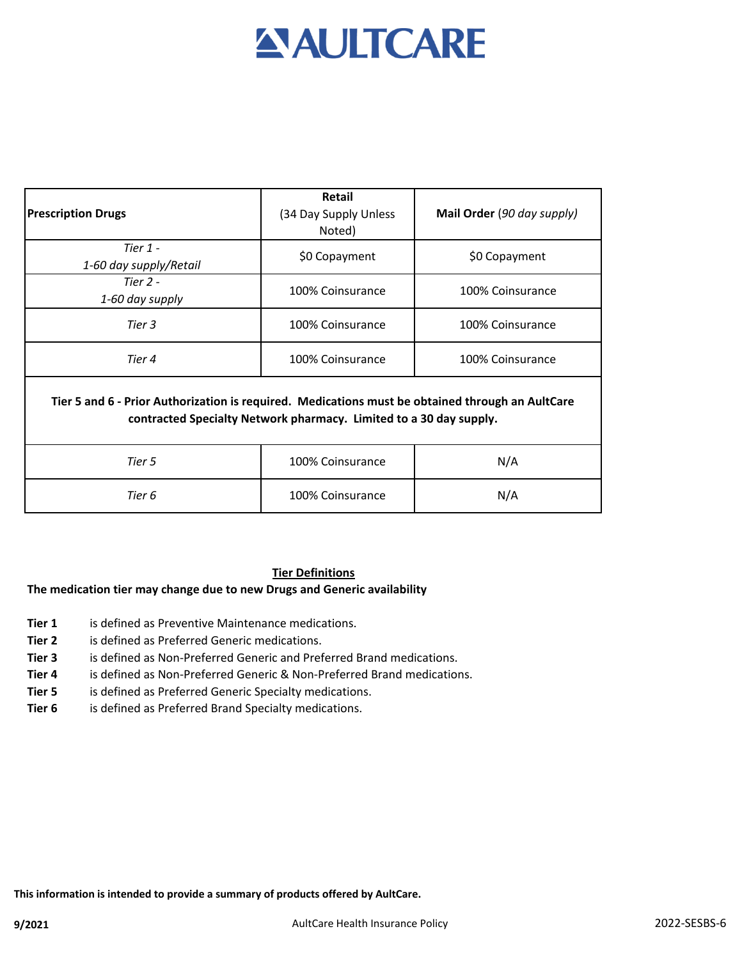# **AULTCARE**

| <b>Prescription Drugs</b>                                                                                                                                              | Retail<br>(34 Day Supply Unless<br>Noted) | Mail Order (90 day supply) |  |
|------------------------------------------------------------------------------------------------------------------------------------------------------------------------|-------------------------------------------|----------------------------|--|
| Tier $1 -$<br>1-60 day supply/Retail                                                                                                                                   | \$0 Copayment                             | \$0 Copayment              |  |
| Tier $2 -$<br>1-60 day supply                                                                                                                                          | 100% Coinsurance                          | 100% Coinsurance           |  |
| Tier 3                                                                                                                                                                 | 100% Coinsurance                          | 100% Coinsurance           |  |
| Tier 4                                                                                                                                                                 | 100% Coinsurance                          | 100% Coinsurance           |  |
| Tier 5 and 6 - Prior Authorization is required. Medications must be obtained through an AultCare<br>contracted Specialty Network pharmacy. Limited to a 30 day supply. |                                           |                            |  |
| Tier 5                                                                                                                                                                 | 100% Coinsurance                          | N/A                        |  |
| Tier 6                                                                                                                                                                 | 100% Coinsurance                          | N/A                        |  |

#### **Tier Definitions**

#### **The medication tier may change due to new Drugs and Generic availability**

- **Tier 1** is defined as Preventive Maintenance medications.
- **Tier 2** is defined as Preferred Generic medications.
- **Tier 3** is defined as Non-Preferred Generic and Preferred Brand medications.
- **Tier 4** is defined as Non-Preferred Generic & Non-Preferred Brand medications.
- **Tier 5** is defined as Preferred Generic Specialty medications.
- **Tier 6** is defined as Preferred Brand Specialty medications.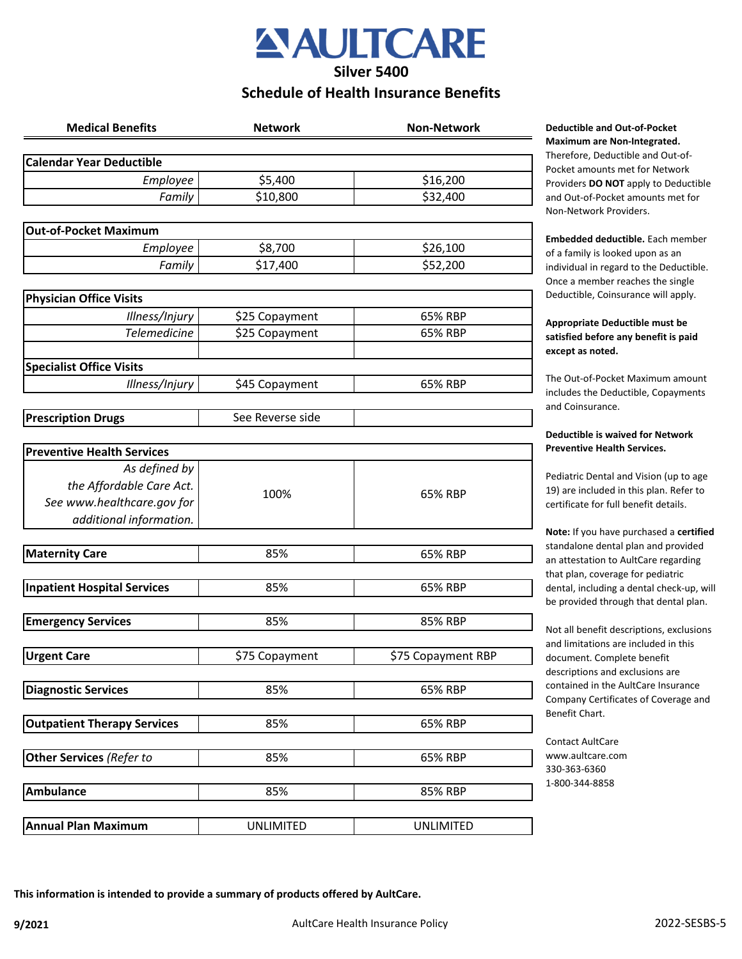

## **Schedule of Health Insurance Benefits**

| <b>Medical Benefits</b>            | <b>Network</b>   | <b>Non-Network</b> |
|------------------------------------|------------------|--------------------|
| <b>Calendar Year Deductible</b>    |                  |                    |
| Employee                           | \$5,400          | \$16,200           |
| Family                             | \$10,800         | \$32,400           |
|                                    |                  |                    |
| <b>Out-of-Pocket Maximum</b>       |                  |                    |
| Employee                           | \$8,700          | \$26,100           |
| Family                             | \$17,400         | \$52,200           |
| <b>Physician Office Visits</b>     |                  |                    |
| Illness/Injury                     | \$25 Copayment   | 65% RBP            |
| <b>Telemedicine</b>                | \$25 Copayment   | 65% RBP            |
|                                    |                  |                    |
| <b>Specialist Office Visits</b>    |                  |                    |
| Illness/Injury                     | \$45 Copayment   | 65% RBP            |
|                                    | See Reverse side |                    |
| <b>Prescription Drugs</b>          |                  |                    |
| <b>Preventive Health Services</b>  |                  |                    |
| As defined by                      |                  |                    |
| the Affordable Care Act.           |                  |                    |
| See www.healthcare.gov for         | 100%             | 65% RBP            |
| additional information.            |                  |                    |
|                                    |                  |                    |
| <b>Maternity Care</b>              | 85%              | 65% RBP            |
| <b>Inpatient Hospital Services</b> | 85%              | 65% RBP            |
|                                    |                  |                    |
| <b>Emergency Services</b>          | 85%              | 85% RBP            |
| <b>Urgent Care</b>                 | \$75 Copayment   | \$75 Copayment RBP |
|                                    |                  |                    |
| <b>Diagnostic Services</b>         | 85%              | 65% RBP            |
|                                    |                  |                    |
| <b>Outpatient Therapy Services</b> | 85%              | 65% RBP            |
| Other Services (Refer to           | 85%              | 65% RBP            |
|                                    |                  |                    |
| <b>Ambulance</b>                   | 85%              | 85% RBP            |
|                                    |                  |                    |
| <b>Annual Plan Maximum</b>         | <b>UNLIMITED</b> | <b>UNLIMITED</b>   |

#### **Meductible and Out-of-Pocket Maximum are Non-Integrated.**

Therefore, Deductible and Out-of-Pocket amounts met for Network Providers **DO NOT** apply to Deductible and Out-of-Pocket amounts met for Non-Network Providers.

**Embedded deductible.** Each member of a family is looked upon as an individual in regard to the Deductible. Once a member reaches the single Deductible, Coinsurance will apply.

#### **Appropriate Deductible must be satisfied before any benefit is paid except as noted.**

The Out-of-Pocket Maximum amount includes the Deductible, Copayments and Coinsurance.

#### **Deductible is waived for Network Preventive Health Services.**

Pediatric Dental and Vision (up to age 19) are included in this plan. Refer to certificate for full benefit details.

**Note:** If you have purchased a **certified**  standalone dental plan and provided an attestation to AultCare regarding that plan, coverage for pediatric dental, including a dental check-up, will be provided through that dental plan.

Not all benefit descriptions, exclusions and limitations are included in this document. Complete benefit descriptions and exclusions are contained in the AultCare Insurance Company Certificates of Coverage and Benefit Chart.

Contact AultCare www.aultcare.com 330-363-6360 1-800-344-8858